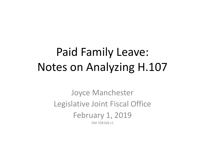# Paid Family Leave: Notes on Analyzing H.107

Joyce Manchester Legislative Joint Fiscal Office February 1, 2019 DM 338168 v1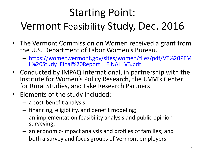# Starting Point: Vermont Feasibility Study, Dec. 2016

- The Vermont Commission on Women received a grant from the U.S. Department of Labor Women's Bureau.
	- [https://women.vermont.gov/sites/women/files/pdf/VT%20PFM](https://women.vermont.gov/sites/women/files/pdf/VT PFML Study_Final Report__FINAL_V3.pdf) L%20Study Final%20Report FINAL V3.pdf
- Conducted by IMPAQ International, in partnership with the Institute for Women's Policy Research, the UVM's Center for Rural Studies, and Lake Research Partners
- Elements of the study included:
	- a cost-benefit analysis;
	- financing, eligibility, and benefit modeling;
	- an implementation feasibility analysis and public opinion surveying;
	- an economic-impact analysis and profiles of families; and
	- both a survey and focus groups of Vermont employers.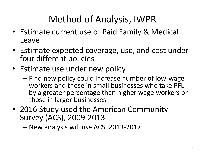## Method of Analysis, IWPR

- Estimate current use of Paid Family & Medical Leave
- Estimate expected coverage, use, and cost under four different policies
- Estimate use under new policy
	- Find new policy could increase number of low-wage workers and those in small businesses who take PFL by a greater percentage than higher wage workers or those in larger businesses
- 2016 Study used the American Community Survey (ACS), 2009-2013

– New analysis will use ACS, 2013-2017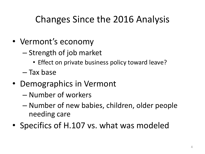### Changes Since the 2016 Analysis

- Vermont's economy
	- Strength of job market
		- Effect on private business policy toward leave?
	- Tax base
- Demographics in Vermont
	- Number of workers
	- Number of new babies, children, older people needing care
- Specifics of H.107 vs. what was modeled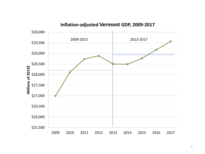

#### **Inflation-adjusted Vermont GDP, 2009-2017**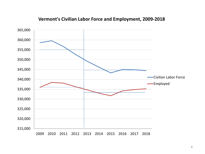

#### **Vermont's Civilian Labor Force and Employment, 2009-2018**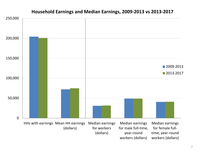

#### **Household Earnings and Median Earnings, 2009-2013 vs 2013-2017**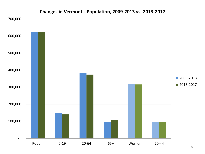

#### **Changes in Vermont's Population, 2009-2013 vs. 2013-2017**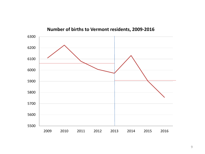

**Number of births to Vermont residents, 2009-2016**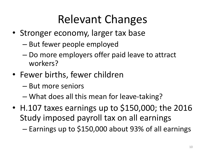# Relevant Changes

- Stronger economy, larger tax base
	- But fewer people employed
	- Do more employers offer paid leave to attract workers?
- Fewer births, fewer children
	- But more seniors
	- What does all this mean for leave-taking?
- H.107 taxes earnings up to \$150,000; the 2016 Study imposed payroll tax on all earnings

– Earnings up to \$150,000 about 93% of all earnings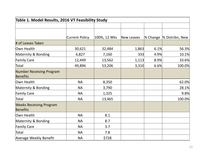| Table 1. Model Results, 2016 VT Feasibility Study  |                |              |            |      |                           |  |
|----------------------------------------------------|----------------|--------------|------------|------|---------------------------|--|
|                                                    |                |              |            |      |                           |  |
|                                                    |                |              |            |      |                           |  |
|                                                    | Current Policy | 100%, 12 Wks | New Leaves |      | % Change  % Distribn, New |  |
| # of Leaves Taken                                  |                |              |            |      |                           |  |
| Own Health                                         | 30,621         | 32,484       | 1,863      | 6.1% | 56.3%                     |  |
| Maternity & Bonding                                | 6,827          | 7,160        | 333        | 4.9% | 10.1%                     |  |
| <b>Family Care</b>                                 | 12,449         | 13,562       | 1,113      | 8.9% | 33.6%                     |  |
| Total                                              | 49,896         | 53,206       | 3,310      | 6.6% | 100.0%                    |  |
| <b>Number Receiving Program</b><br><b>Benefits</b> |                |              |            |      |                           |  |
| Own Health                                         | <b>NA</b>      | 8,350        |            |      | 62.0%                     |  |
| Maternity & Bonding                                | <b>NA</b>      | 3,790        |            |      | 28.1%                     |  |
| <b>Family Care</b>                                 | <b>NA</b>      | 1,325        |            |      | 9.8%                      |  |
| Total                                              | <b>NA</b>      | 13,465       |            |      | 100.0%                    |  |
| <b>Weeks Receiving Program</b><br>Benefits         |                |              |            |      |                           |  |
| Own Health                                         | <b>NA</b>      | 8.1          |            |      |                           |  |
| Maternity & Bonding                                | <b>NA</b>      | 8.7          |            |      |                           |  |
| <b>Family Care</b>                                 | <b>NA</b>      | 3.7          |            |      |                           |  |
| Total                                              | <b>NA</b>      | 7.8          |            |      |                           |  |
| <b>Average Weekly Benefit</b>                      | <b>NA</b>      | \$728        |            |      |                           |  |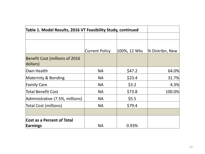| Table 1. Model Results, 2016 VT Feasibility Study, continued |                |              |                 |
|--------------------------------------------------------------|----------------|--------------|-----------------|
|                                                              |                |              |                 |
|                                                              | Current Policy | 100%, 12 Wks | % Distribn, New |
| <b>Benefit Cost (millions of 2016</b><br>dollars)            |                |              |                 |
| Own Health                                                   | <b>NA</b>      | \$47.2       | 64.0%           |
| Maternity & Bonding                                          | <b>NA</b>      | \$23.4       | 31.7%           |
| <b>Family Care</b>                                           | <b>NA</b>      | \$3.2        | 4.3%            |
| Total Benefit Cost                                           | <b>NA</b>      | \$73.8       | 100.0%          |
| Administrative (7.5%, millions)                              | <b>NA</b>      | \$5.5        |                 |
| Total Cost (millions)                                        | <b>NA</b>      | \$79.4       |                 |
|                                                              |                |              |                 |
| Cost as a Percent of Total<br>Earnings                       | <b>NA</b>      | 0.93%        |                 |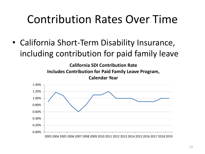## Contribution Rates Over Time

• California Short-Term Disability Insurance, including contribution for paid family leave

> **California SDI Contribution Rate Includes Contribution for Paid Family Leave Program, Calendar Year**

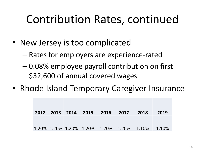# Contribution Rates, continued

- New Jersey is too complicated
	- Rates for employers are experience-rated
	- 0.08% employee payroll contribution on first \$32,600 of annual covered wages
- Rhode Island Temporary Caregiver Insurance

|  |  | 2012 2013 2014 2015 2016 2017 2018 |                                                 | 2019 |
|--|--|------------------------------------|-------------------------------------------------|------|
|  |  |                                    | 1.20% 1.20% 1.20% 1.20% 1.20% 1.20% 1.10% 1.10% |      |